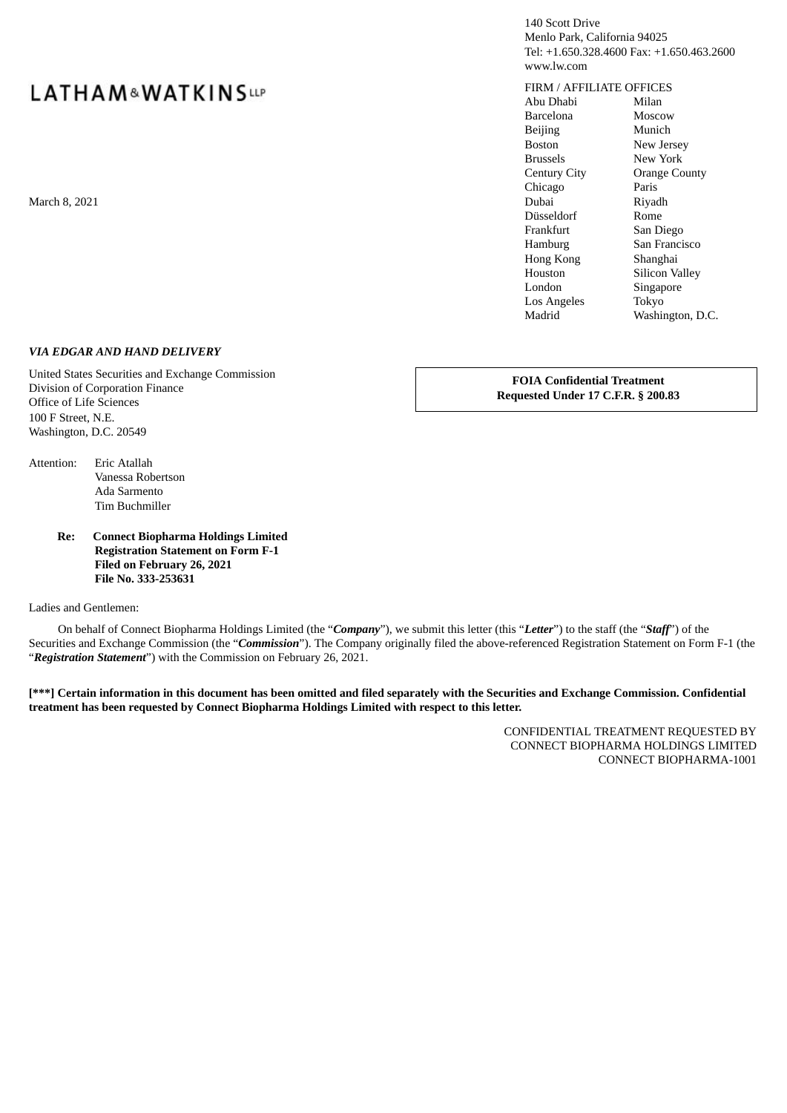140 Scott Drive Menlo Park, California 94025 Tel: +1.650.328.4600 Fax: +1.650.463.2600 www.lw.com

## FIRM / AFFILIATE OFFICES

Abu Dhabi Milan Barcelona Moscow Beijing Munich Boston New Jersey Brussels New York Century City Orange County Chicago Paris March 8, 2021 **Dubai Riyadh** Riyadh ann an t-achair a chuid ann an t-achair an t-achair ann an Dubai Riyadh Riyadh Düsseldorf Rome Frankfurt San Diego Hamburg San Francisco Hong Kong Shanghai Houston Silicon Valley London Singapore Los Angeles Tokyo Madrid Washington, D.C.

#### *VIA EDGAR AND HAND DELIVERY*

United States Securities and Exchange Commission Division of Corporation Finance Office of Life Sciences 100 F Street, N.E. Washington, D.C. 20549

**FOIA Confidential Treatment Requested Under 17 C.F.R. § 200.83**

Attention: Eric Atallah Vanessa Robertson Ada Sarmento Tim Buchmiller

#### **Re: Connect Biopharma Holdings Limited Registration Statement on Form F-1 Filed on February 26, 2021 File No. 333-253631**

Ladies and Gentlemen:

On behalf of Connect Biopharma Holdings Limited (the "*Company*"), we submit this letter (this "*Letter*") to the staff (the "*Staff*") of the Securities and Exchange Commission (the "*Commission*"). The Company originally filed the above-referenced Registration Statement on Form F-1 (the "*Registration Statement*") with the Commission on February 26, 2021.

[\*\*\*] Certain information in this document has been omitted and filed separately with the Securities and Exchange Commission. Confidential **treatment has been requested by Connect Biopharma Holdings Limited with respect to this letter.**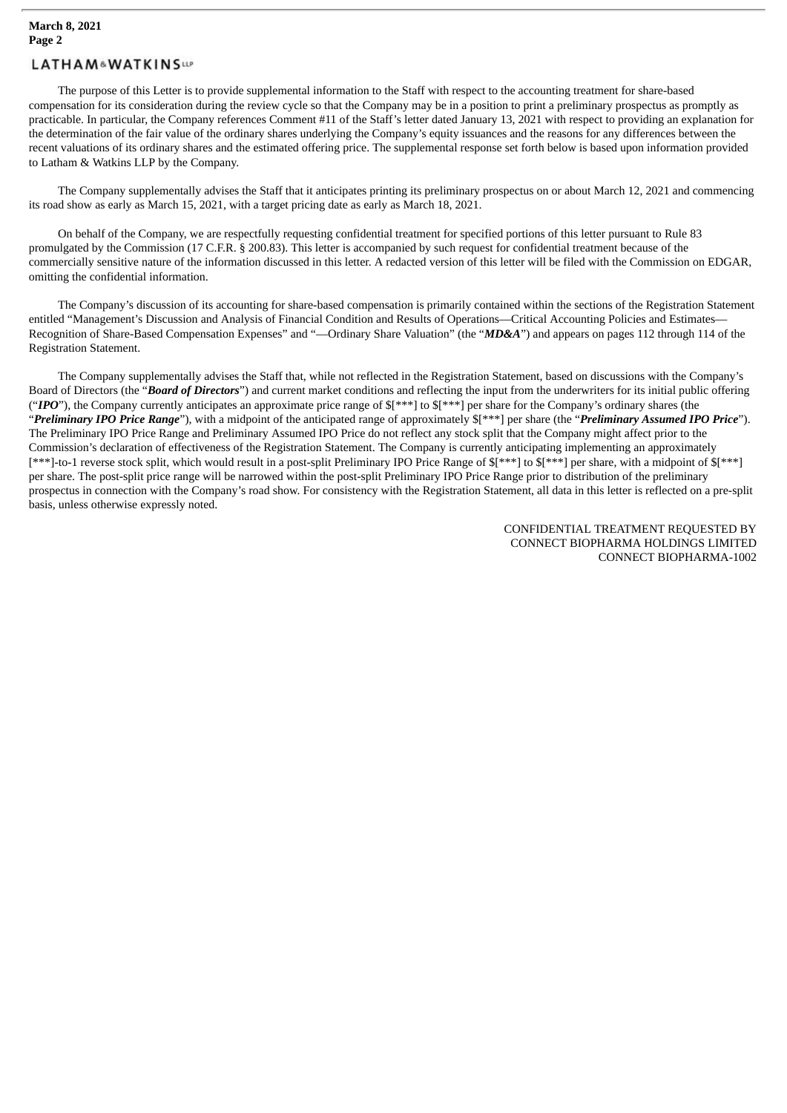The purpose of this Letter is to provide supplemental information to the Staff with respect to the accounting treatment for share-based compensation for its consideration during the review cycle so that the Company may be in a position to print a preliminary prospectus as promptly as practicable. In particular, the Company references Comment #11 of the Staff's letter dated January 13, 2021 with respect to providing an explanation for the determination of the fair value of the ordinary shares underlying the Company's equity issuances and the reasons for any differences between the recent valuations of its ordinary shares and the estimated offering price. The supplemental response set forth below is based upon information provided to Latham & Watkins LLP by the Company.

The Company supplementally advises the Staff that it anticipates printing its preliminary prospectus on or about March 12, 2021 and commencing its road show as early as March 15, 2021, with a target pricing date as early as March 18, 2021.

On behalf of the Company, we are respectfully requesting confidential treatment for specified portions of this letter pursuant to Rule 83 promulgated by the Commission (17 C.F.R. § 200.83). This letter is accompanied by such request for confidential treatment because of the commercially sensitive nature of the information discussed in this letter. A redacted version of this letter will be filed with the Commission on EDGAR, omitting the confidential information.

The Company's discussion of its accounting for share-based compensation is primarily contained within the sections of the Registration Statement entitled "Management's Discussion and Analysis of Financial Condition and Results of Operations—Critical Accounting Policies and Estimates— Recognition of Share-Based Compensation Expenses" and "—Ordinary Share Valuation" (the "*MD&A*") and appears on pages 112 through 114 of the Registration Statement.

The Company supplementally advises the Staff that, while not reflected in the Registration Statement, based on discussions with the Company's Board of Directors (the "*Board of Directors*") and current market conditions and reflecting the input from the underwriters for its initial public offering ("*IPO*"), the Company currently anticipates an approximate price range of  $\frac{1}{2}$ <sup>\*\*\*</sup>] to  $\frac{1}{2}$  (\*\*\*\*] per share for the Company's ordinary shares (the "*Preliminary IPO Price Range*"), with a midpoint of the anticipated range of approximately \$[\*\*\*] per share (the "*Preliminary Assumed IPO Price*"). The Preliminary IPO Price Range and Preliminary Assumed IPO Price do not reflect any stock split that the Company might affect prior to the Commission's declaration of effectiveness of the Registration Statement. The Company is currently anticipating implementing an approximately [\*\*\*]-to-1 reverse stock split, which would result in a post-split Preliminary IPO Price Range of \$[\*\*\*] to \$[\*\*\*] per share, with a midpoint of \$[\*\*\*] per share. The post-split price range will be narrowed within the post-split Preliminary IPO Price Range prior to distribution of the preliminary prospectus in connection with the Company's road show. For consistency with the Registration Statement, all data in this letter is reflected on a pre-split basis, unless otherwise expressly noted.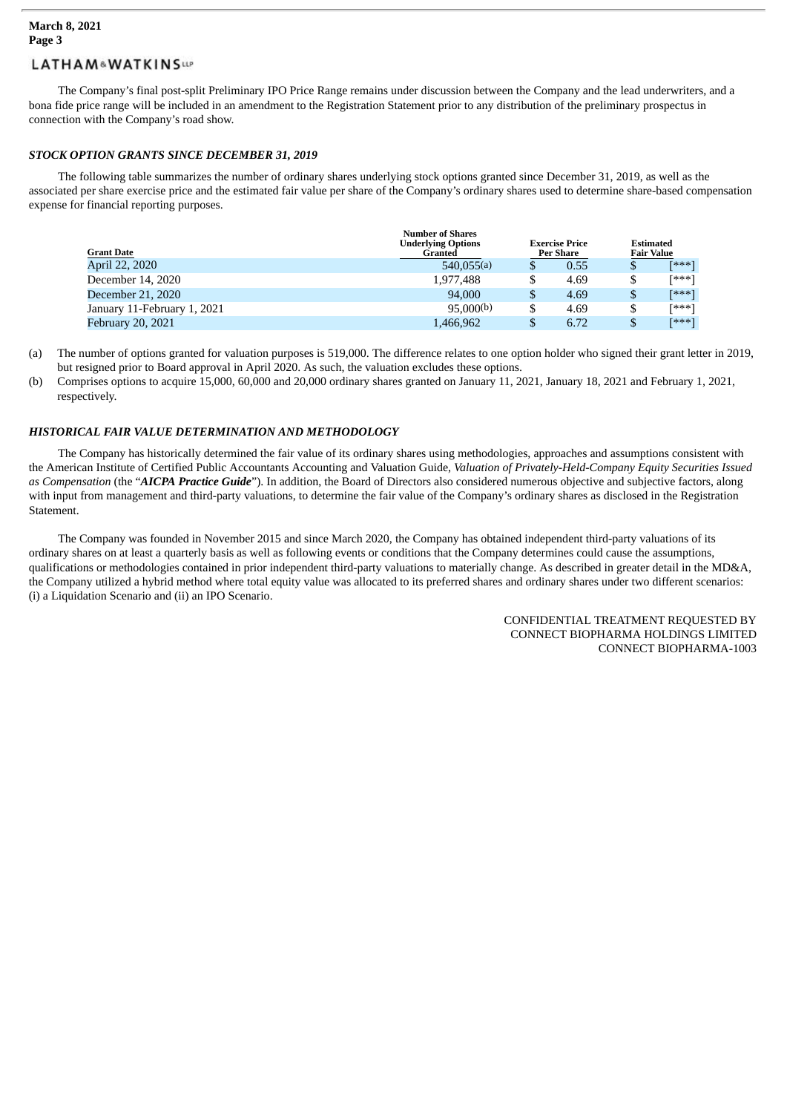The Company's final post-split Preliminary IPO Price Range remains under discussion between the Company and the lead underwriters, and a bona fide price range will be included in an amendment to the Registration Statement prior to any distribution of the preliminary prospectus in connection with the Company's road show.

#### *STOCK OPTION GRANTS SINCE DECEMBER 31, 2019*

The following table summarizes the number of ordinary shares underlying stock options granted since December 31, 2019, as well as the associated per share exercise price and the estimated fair value per share of the Company's ordinary shares used to determine share-based compensation expense for financial reporting purposes.

| <b>Grant Date</b>           | <b>Number of Shares</b><br><b>Underlying Options</b><br>Granted | <b>Exercise Price</b><br><b>Per Share</b> |      | <b>Estimated</b><br><b>Fair Value</b> |       |
|-----------------------------|-----------------------------------------------------------------|-------------------------------------------|------|---------------------------------------|-------|
| April 22, 2020              | 540,055(a)                                                      |                                           | 0.55 |                                       | [***] |
| December 14, 2020           | 1,977,488                                                       |                                           | 4.69 |                                       | [***] |
| December 21, 2020           | 94,000                                                          | \$                                        | 4.69 |                                       | [***] |
| January 11-February 1, 2021 | 95,000(b)                                                       |                                           | 4.69 |                                       | [***] |
| <b>February 20, 2021</b>    | 1,466,962                                                       |                                           | 6.72 |                                       | [***] |

- (a) The number of options granted for valuation purposes is 519,000. The difference relates to one option holder who signed their grant letter in 2019, but resigned prior to Board approval in April 2020. As such, the valuation excludes these options.
- (b) Comprises options to acquire 15,000, 60,000 and 20,000 ordinary shares granted on January 11, 2021, January 18, 2021 and February 1, 2021, respectively.

### *HISTORICAL FAIR VALUE DETERMINATION AND METHODOLOGY*

The Company has historically determined the fair value of its ordinary shares using methodologies, approaches and assumptions consistent with the American Institute of Certified Public Accountants Accounting and Valuation Guide, *Valuation of Privately-Held-Company Equity Securities Issued as Compensation* (the "*AICPA Practice Guide*"). In addition, the Board of Directors also considered numerous objective and subjective factors, along with input from management and third-party valuations, to determine the fair value of the Company's ordinary shares as disclosed in the Registration Statement.

The Company was founded in November 2015 and since March 2020, the Company has obtained independent third-party valuations of its ordinary shares on at least a quarterly basis as well as following events or conditions that the Company determines could cause the assumptions, qualifications or methodologies contained in prior independent third-party valuations to materially change. As described in greater detail in the MD&A, the Company utilized a hybrid method where total equity value was allocated to its preferred shares and ordinary shares under two different scenarios: (i) a Liquidation Scenario and (ii) an IPO Scenario.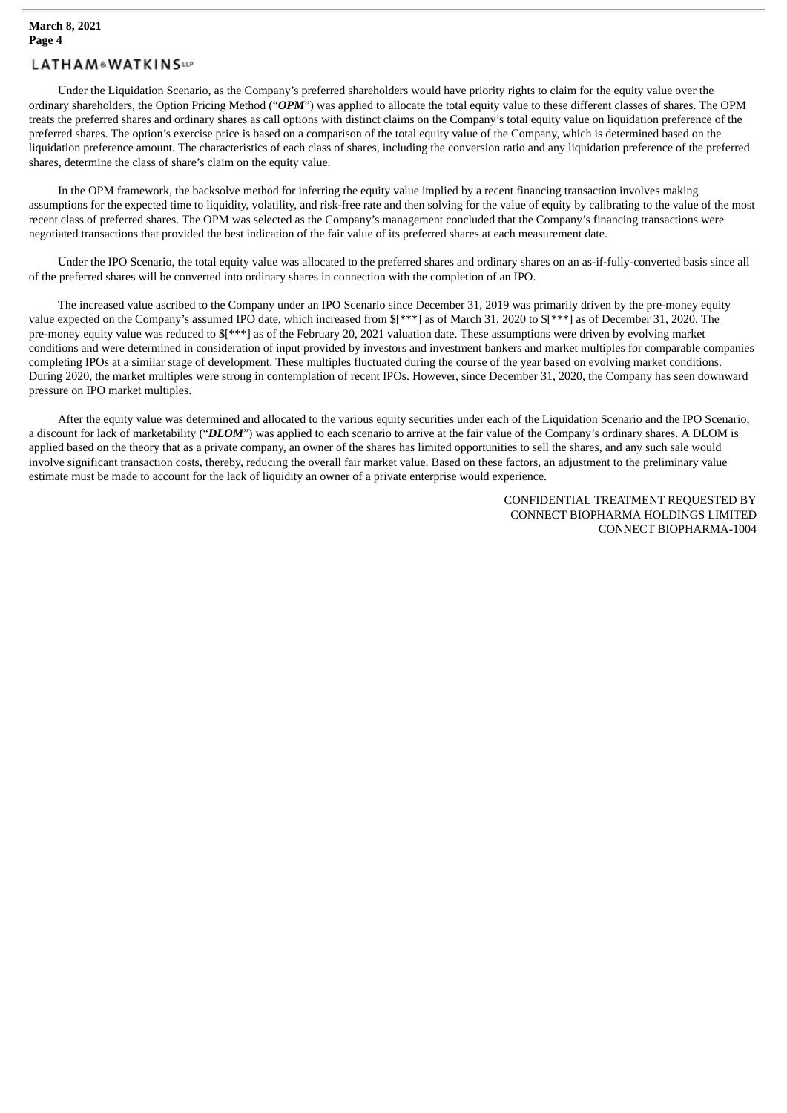Under the Liquidation Scenario, as the Company's preferred shareholders would have priority rights to claim for the equity value over the ordinary shareholders, the Option Pricing Method ("*OPM*") was applied to allocate the total equity value to these different classes of shares. The OPM treats the preferred shares and ordinary shares as call options with distinct claims on the Company's total equity value on liquidation preference of the preferred shares. The option's exercise price is based on a comparison of the total equity value of the Company, which is determined based on the liquidation preference amount. The characteristics of each class of shares, including the conversion ratio and any liquidation preference of the preferred shares, determine the class of share's claim on the equity value.

In the OPM framework, the backsolve method for inferring the equity value implied by a recent financing transaction involves making assumptions for the expected time to liquidity, volatility, and risk-free rate and then solving for the value of equity by calibrating to the value of the most recent class of preferred shares. The OPM was selected as the Company's management concluded that the Company's financing transactions were negotiated transactions that provided the best indication of the fair value of its preferred shares at each measurement date.

Under the IPO Scenario, the total equity value was allocated to the preferred shares and ordinary shares on an as-if-fully-converted basis since all of the preferred shares will be converted into ordinary shares in connection with the completion of an IPO.

The increased value ascribed to the Company under an IPO Scenario since December 31, 2019 was primarily driven by the pre-money equity value expected on the Company's assumed IPO date, which increased from \$[\*\*\*] as of March 31, 2020 to \$[\*\*\*] as of December 31, 2020. The pre-money equity value was reduced to \$[\*\*\*] as of the February 20, 2021 valuation date. These assumptions were driven by evolving market conditions and were determined in consideration of input provided by investors and investment bankers and market multiples for comparable companies completing IPOs at a similar stage of development. These multiples fluctuated during the course of the year based on evolving market conditions. During 2020, the market multiples were strong in contemplation of recent IPOs. However, since December 31, 2020, the Company has seen downward pressure on IPO market multiples.

After the equity value was determined and allocated to the various equity securities under each of the Liquidation Scenario and the IPO Scenario, a discount for lack of marketability ("*DLOM*") was applied to each scenario to arrive at the fair value of the Company's ordinary shares. A DLOM is applied based on the theory that as a private company, an owner of the shares has limited opportunities to sell the shares, and any such sale would involve significant transaction costs, thereby, reducing the overall fair market value. Based on these factors, an adjustment to the preliminary value estimate must be made to account for the lack of liquidity an owner of a private enterprise would experience.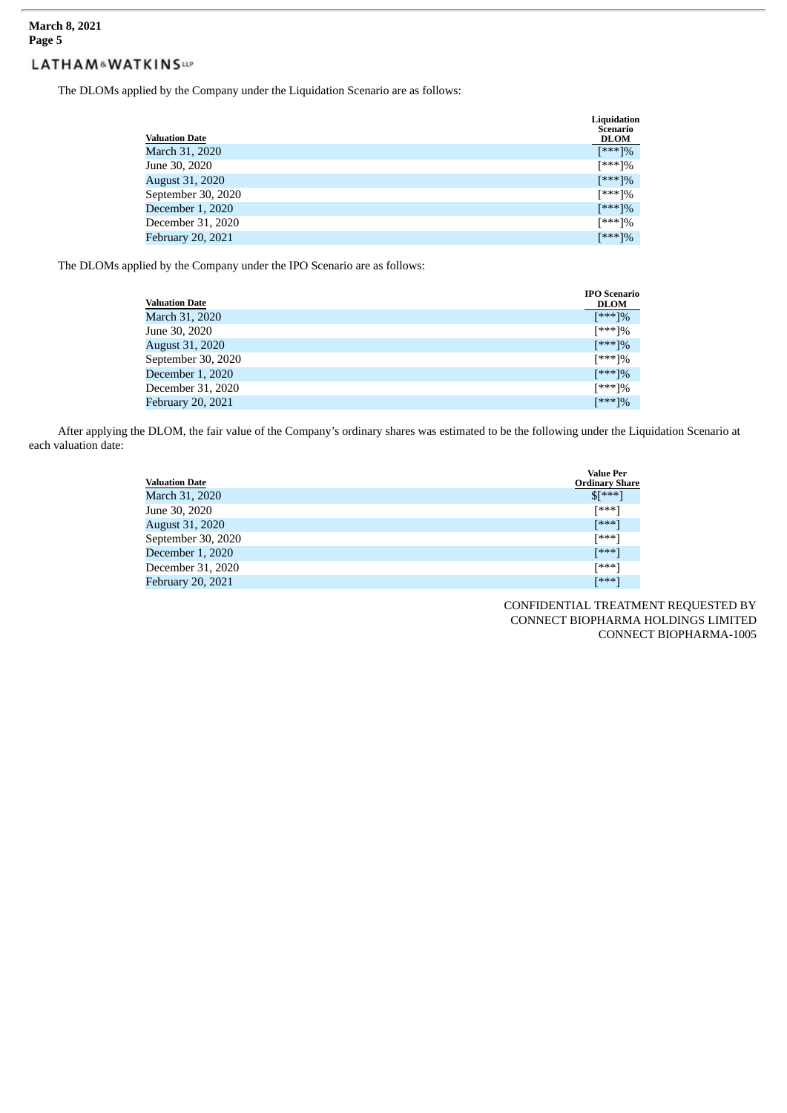#### **March 8, 2021 Page 5**

# **LATHAM&WATKINSW**

The DLOMs applied by the Company under the Liquidation Scenario are as follows:

| <b>Valuation Date</b>    | Liquidation<br>Scenario<br><b>DLOM</b> |
|--------------------------|----------------------------------------|
| March 31, 2020           | [***]%                                 |
| June 30, 2020            | [***]%                                 |
| <b>August 31, 2020</b>   | [***]%                                 |
| September 30, 2020       | [***]%                                 |
| December 1, 2020         | [***]%                                 |
| December 31, 2020        | [***]%                                 |
| <b>February 20, 2021</b> | [***]%                                 |

The DLOMs applied by the Company under the IPO Scenario are as follows:

| <b>Valuation Date</b>    | <b>IPO</b> Scenario<br><b>DLOM</b> |
|--------------------------|------------------------------------|
| March 31, 2020           | [***]%                             |
| June 30, 2020            | $[***]%$                           |
| <b>August 31, 2020</b>   | [***]%                             |
| September 30, 2020       | [***]%                             |
| December 1, 2020         | [***]%                             |
| December 31, 2020        | $[***]%$                           |
| <b>February 20, 2021</b> | [***]%                             |

After applying the DLOM, the fair value of the Company's ordinary shares was estimated to be the following under the Liquidation Scenario at each valuation date:

| <b>Valuation Date</b>    | <b>Value Per</b><br><b>Ordinary Share</b> |
|--------------------------|-------------------------------------------|
| March 31, 2020           | $S[***]$                                  |
| June 30, 2020            | [***]                                     |
| <b>August 31, 2020</b>   | [***]                                     |
| September 30, 2020       | [***]                                     |
| December 1, 2020         | [***]                                     |
| December 31, 2020        | [***]                                     |
| <b>February 20, 2021</b> | <b>[***]</b>                              |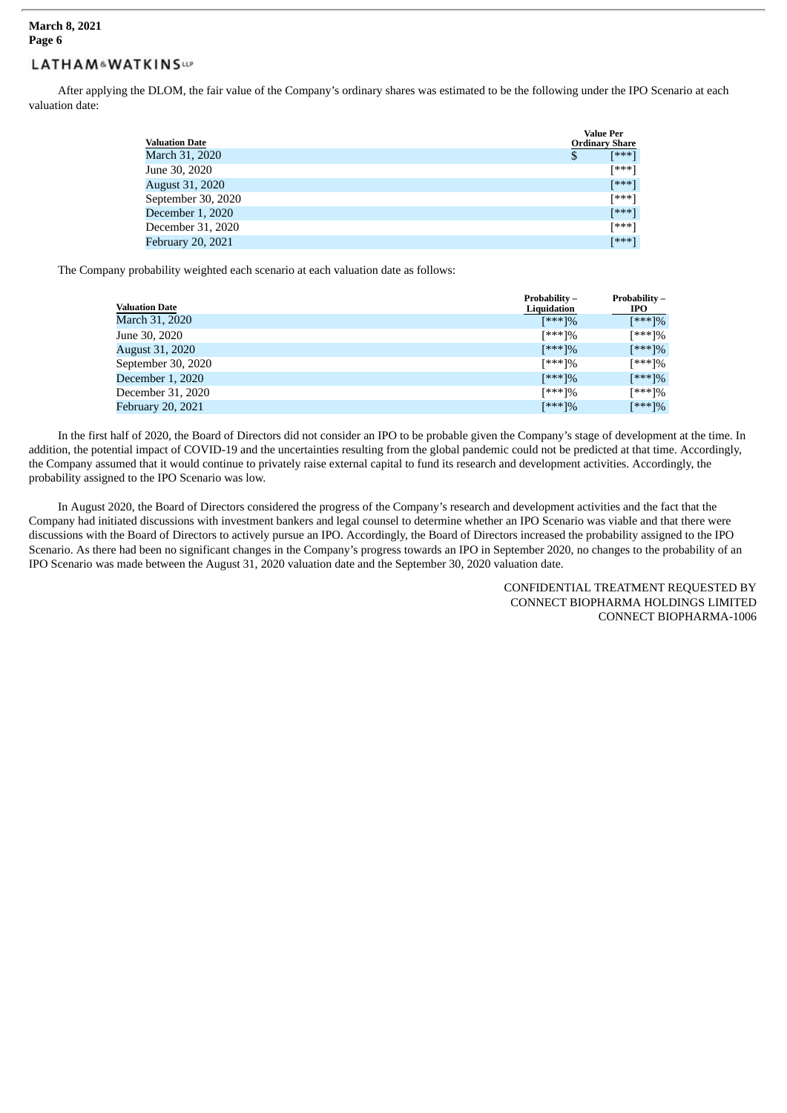#### **March 8, 2021 Page 6**

# **LATHAM&WATKINSUP**

After applying the DLOM, the fair value of the Company's ordinary shares was estimated to be the following under the IPO Scenario at each valuation date:

| <b>Valuation Date</b>    | <b>Value Per</b><br><b>Ordinary Share</b> |
|--------------------------|-------------------------------------------|
| March 31, 2020           | [***]<br>\$                               |
| June 30, 2020            | [***]                                     |
| <b>August 31, 2020</b>   | [***]                                     |
| September 30, 2020       | [***]                                     |
| December 1, 2020         | [***]                                     |
| December 31, 2020        | [***]                                     |
| <b>February 20, 2021</b> | [***]                                     |

The Company probability weighted each scenario at each valuation date as follows:

| <b>Valuation Date</b> | Probability-<br>Liquidation | Probability-<br>IPO. |
|-----------------------|-----------------------------|----------------------|
| March 31, 2020        | $[***]%$                    | [***]%               |
| June 30, 2020         | [***]%                      | [***]%               |
| August 31, 2020       | [***]%                      | [***]%               |
| September 30, 2020    | [***]%                      | [***]%               |
| December 1, 2020      | [***]%                      | [***]%               |
| December 31, 2020     | [***]%                      | [***]%               |
| February 20, 2021     | [***]%                      | [***]%               |

In the first half of 2020, the Board of Directors did not consider an IPO to be probable given the Company's stage of development at the time. In addition, the potential impact of COVID-19 and the uncertainties resulting from the global pandemic could not be predicted at that time. Accordingly, the Company assumed that it would continue to privately raise external capital to fund its research and development activities. Accordingly, the probability assigned to the IPO Scenario was low.

In August 2020, the Board of Directors considered the progress of the Company's research and development activities and the fact that the Company had initiated discussions with investment bankers and legal counsel to determine whether an IPO Scenario was viable and that there were discussions with the Board of Directors to actively pursue an IPO. Accordingly, the Board of Directors increased the probability assigned to the IPO Scenario. As there had been no significant changes in the Company's progress towards an IPO in September 2020, no changes to the probability of an IPO Scenario was made between the August 31, 2020 valuation date and the September 30, 2020 valuation date.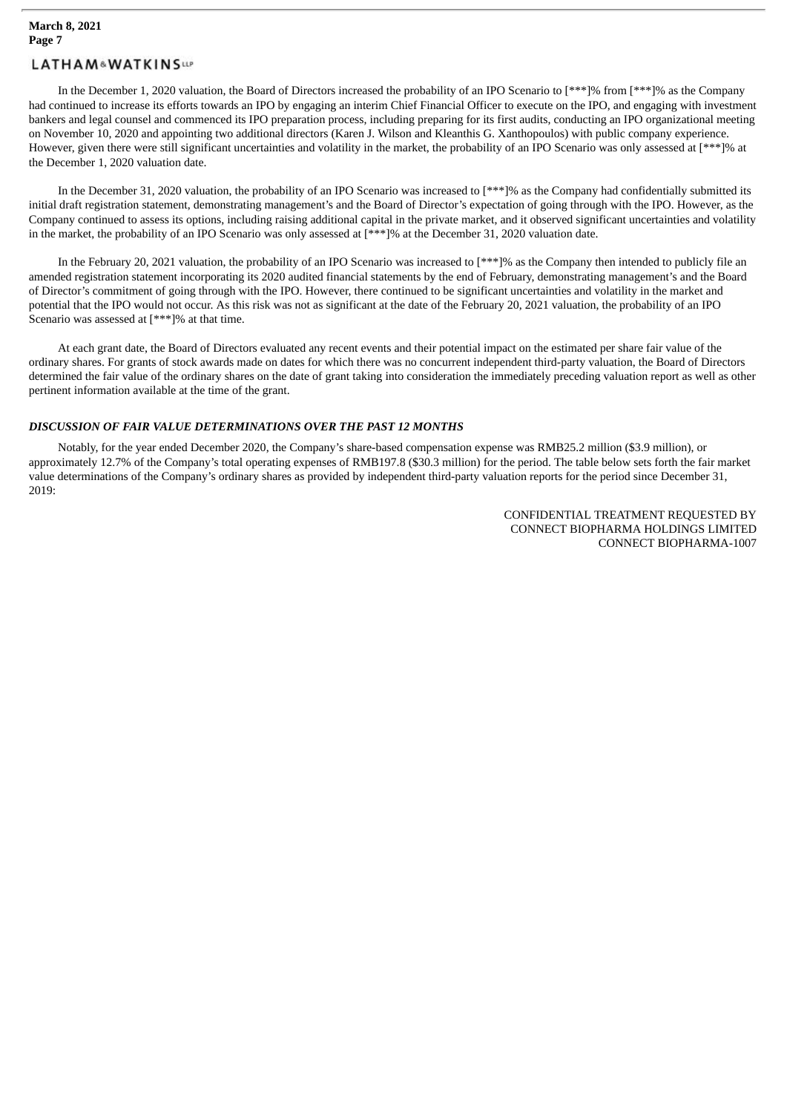In the December 1, 2020 valuation, the Board of Directors increased the probability of an IPO Scenario to [\*\*\*]% from [\*\*\*]% as the Company had continued to increase its efforts towards an IPO by engaging an interim Chief Financial Officer to execute on the IPO, and engaging with investment bankers and legal counsel and commenced its IPO preparation process, including preparing for its first audits, conducting an IPO organizational meeting on November 10, 2020 and appointing two additional directors (Karen J. Wilson and Kleanthis G. Xanthopoulos) with public company experience. However, given there were still significant uncertainties and volatility in the market, the probability of an IPO Scenario was only assessed at [\*\*\*]% at the December 1, 2020 valuation date.

In the December 31, 2020 valuation, the probability of an IPO Scenario was increased to [\*\*\*]% as the Company had confidentially submitted its initial draft registration statement, demonstrating management's and the Board of Director's expectation of going through with the IPO. However, as the Company continued to assess its options, including raising additional capital in the private market, and it observed significant uncertainties and volatility in the market, the probability of an IPO Scenario was only assessed at [\*\*\*]% at the December 31, 2020 valuation date.

In the February 20, 2021 valuation, the probability of an IPO Scenario was increased to [\*\*\*]% as the Company then intended to publicly file an amended registration statement incorporating its 2020 audited financial statements by the end of February, demonstrating management's and the Board of Director's commitment of going through with the IPO. However, there continued to be significant uncertainties and volatility in the market and potential that the IPO would not occur. As this risk was not as significant at the date of the February 20, 2021 valuation, the probability of an IPO Scenario was assessed at [\*\*\*]% at that time.

At each grant date, the Board of Directors evaluated any recent events and their potential impact on the estimated per share fair value of the ordinary shares. For grants of stock awards made on dates for which there was no concurrent independent third-party valuation, the Board of Directors determined the fair value of the ordinary shares on the date of grant taking into consideration the immediately preceding valuation report as well as other pertinent information available at the time of the grant.

#### *DISCUSSION OF FAIR VALUE DETERMINATIONS OVER THE PAST 12 MONTHS*

Notably, for the year ended December 2020, the Company's share-based compensation expense was RMB25.2 million (\$3.9 million), or approximately 12.7% of the Company's total operating expenses of RMB197.8 (\$30.3 million) for the period. The table below sets forth the fair market value determinations of the Company's ordinary shares as provided by independent third-party valuation reports for the period since December 31, 2019: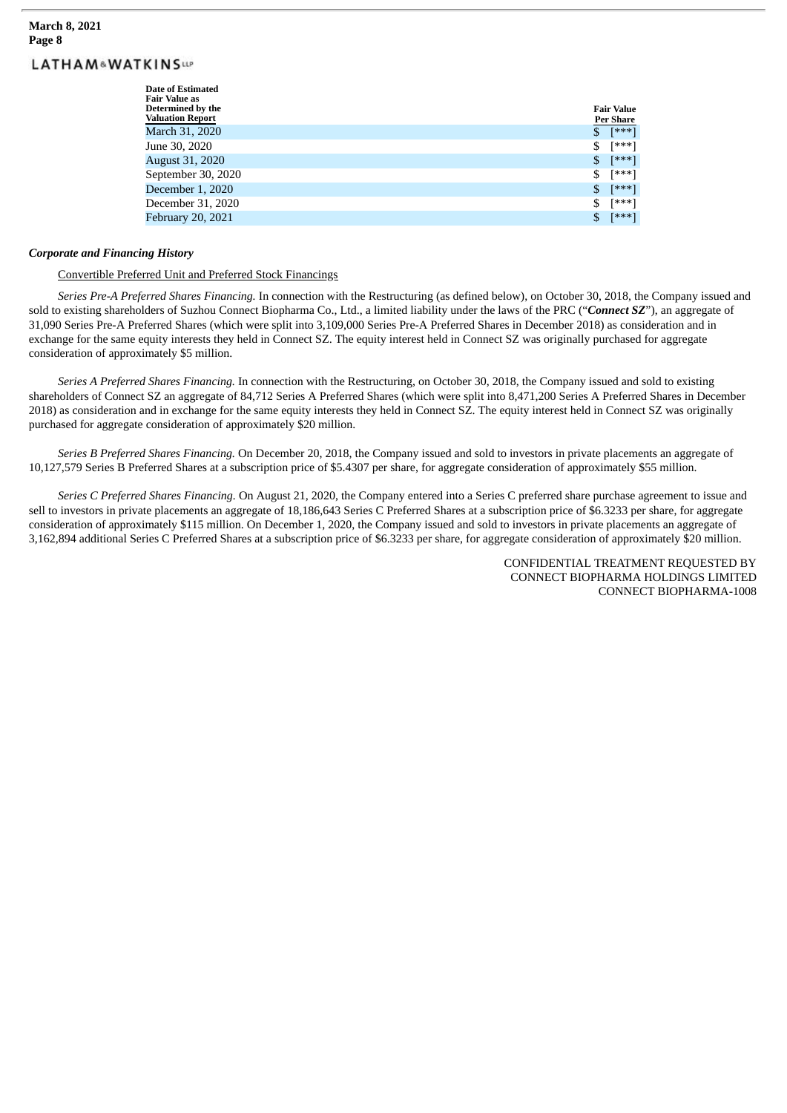#### **March 8, 2021 Page 8**

# **LATHAM&WATKINSUP**

| Date of Estimated<br><b>Fair Value as</b><br>Determined by the<br><b>Valuation Report</b> | <b>Fair Value</b><br><b>Per Share</b> |
|-------------------------------------------------------------------------------------------|---------------------------------------|
| March 31, 2020                                                                            | \$<br>[***]                           |
| June 30, 2020                                                                             | \$<br>[***]                           |
| <b>August 31, 2020</b>                                                                    | \$<br>[***]                           |
| September 30, 2020                                                                        | \$<br>[***]                           |
| December 1, 2020                                                                          | \$<br>[***]                           |
| December 31, 2020                                                                         | \$<br>[***]                           |
| <b>February 20, 2021</b>                                                                  | \$<br>[***]                           |

#### *Corporate and Financing History*

#### Convertible Preferred Unit and Preferred Stock Financings

*Series Pre-A Preferred Shares Financing.* In connection with the Restructuring (as defined below), on October 30, 2018, the Company issued and sold to existing shareholders of Suzhou Connect Biopharma Co., Ltd., a limited liability under the laws of the PRC ("*Connect SZ*"), an aggregate of 31,090 Series Pre-A Preferred Shares (which were split into 3,109,000 Series Pre-A Preferred Shares in December 2018) as consideration and in exchange for the same equity interests they held in Connect SZ. The equity interest held in Connect SZ was originally purchased for aggregate consideration of approximately \$5 million.

*Series A Preferred Shares Financing.* In connection with the Restructuring, on October 30, 2018, the Company issued and sold to existing shareholders of Connect SZ an aggregate of 84,712 Series A Preferred Shares (which were split into 8,471,200 Series A Preferred Shares in December 2018) as consideration and in exchange for the same equity interests they held in Connect SZ. The equity interest held in Connect SZ was originally purchased for aggregate consideration of approximately \$20 million.

*Series B Preferred Shares Financing.* On December 20, 2018, the Company issued and sold to investors in private placements an aggregate of 10,127,579 Series B Preferred Shares at a subscription price of \$5.4307 per share, for aggregate consideration of approximately \$55 million.

*Series C Preferred Shares Financing.* On August 21, 2020, the Company entered into a Series C preferred share purchase agreement to issue and sell to investors in private placements an aggregate of 18,186,643 Series C Preferred Shares at a subscription price of \$6.3233 per share, for aggregate consideration of approximately \$115 million. On December 1, 2020, the Company issued and sold to investors in private placements an aggregate of 3,162,894 additional Series C Preferred Shares at a subscription price of \$6.3233 per share, for aggregate consideration of approximately \$20 million.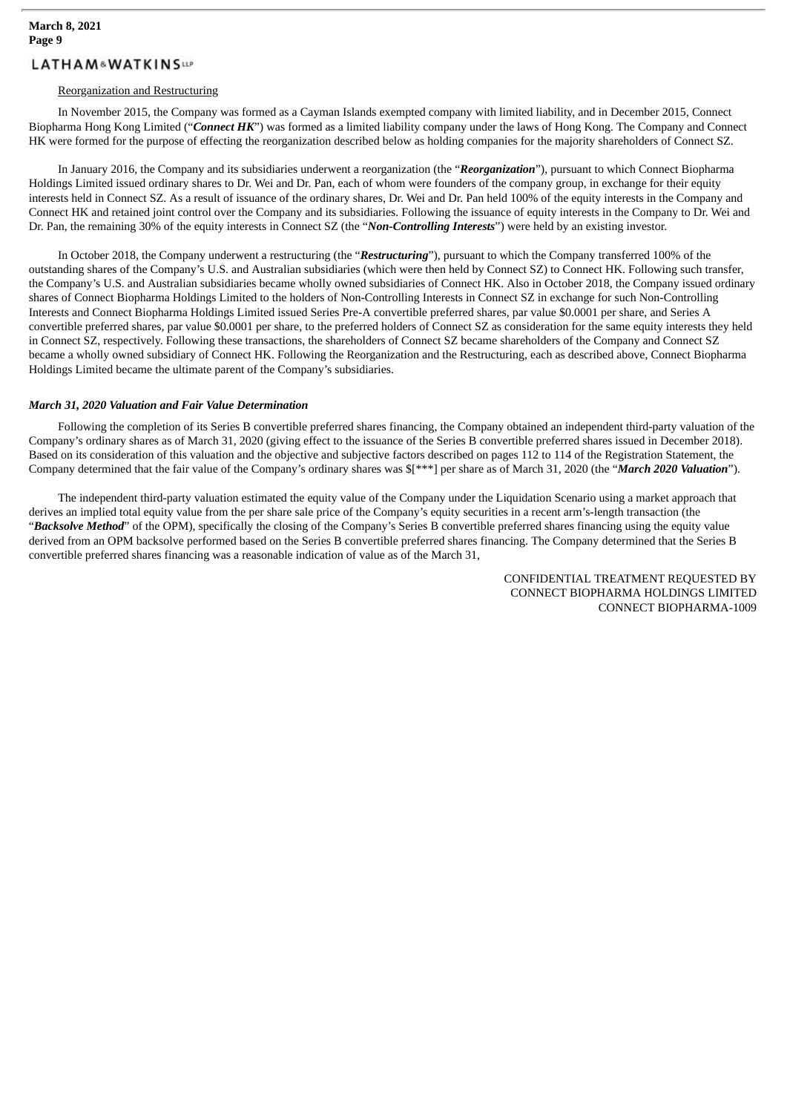#### Reorganization and Restructuring

In November 2015, the Company was formed as a Cayman Islands exempted company with limited liability, and in December 2015, Connect Biopharma Hong Kong Limited ("*Connect HK*") was formed as a limited liability company under the laws of Hong Kong. The Company and Connect HK were formed for the purpose of effecting the reorganization described below as holding companies for the majority shareholders of Connect SZ.

In January 2016, the Company and its subsidiaries underwent a reorganization (the "*Reorganization*"), pursuant to which Connect Biopharma Holdings Limited issued ordinary shares to Dr. Wei and Dr. Pan, each of whom were founders of the company group, in exchange for their equity interests held in Connect SZ. As a result of issuance of the ordinary shares, Dr. Wei and Dr. Pan held 100% of the equity interests in the Company and Connect HK and retained joint control over the Company and its subsidiaries. Following the issuance of equity interests in the Company to Dr. Wei and Dr. Pan, the remaining 30% of the equity interests in Connect SZ (the "*Non-Controlling Interests*") were held by an existing investor.

In October 2018, the Company underwent a restructuring (the "*Restructuring*"), pursuant to which the Company transferred 100% of the outstanding shares of the Company's U.S. and Australian subsidiaries (which were then held by Connect SZ) to Connect HK. Following such transfer, the Company's U.S. and Australian subsidiaries became wholly owned subsidiaries of Connect HK. Also in October 2018, the Company issued ordinary shares of Connect Biopharma Holdings Limited to the holders of Non-Controlling Interests in Connect SZ in exchange for such Non-Controlling Interests and Connect Biopharma Holdings Limited issued Series Pre-A convertible preferred shares, par value \$0.0001 per share, and Series A convertible preferred shares, par value \$0.0001 per share, to the preferred holders of Connect SZ as consideration for the same equity interests they held in Connect SZ, respectively. Following these transactions, the shareholders of Connect SZ became shareholders of the Company and Connect SZ became a wholly owned subsidiary of Connect HK. Following the Reorganization and the Restructuring, each as described above, Connect Biopharma Holdings Limited became the ultimate parent of the Company's subsidiaries.

#### *March 31, 2020 Valuation and Fair Value Determination*

Following the completion of its Series B convertible preferred shares financing, the Company obtained an independent third-party valuation of the Company's ordinary shares as of March 31, 2020 (giving effect to the issuance of the Series B convertible preferred shares issued in December 2018). Based on its consideration of this valuation and the objective and subjective factors described on pages 112 to 114 of the Registration Statement, the Company determined that the fair value of the Company's ordinary shares was \$[\*\*\*] per share as of March 31, 2020 (the "*March 2020 Valuation*").

The independent third-party valuation estimated the equity value of the Company under the Liquidation Scenario using a market approach that derives an implied total equity value from the per share sale price of the Company's equity securities in a recent arm's-length transaction (the "*Backsolve Method*" of the OPM), specifically the closing of the Company's Series B convertible preferred shares financing using the equity value derived from an OPM backsolve performed based on the Series B convertible preferred shares financing. The Company determined that the Series B convertible preferred shares financing was a reasonable indication of value as of the March 31,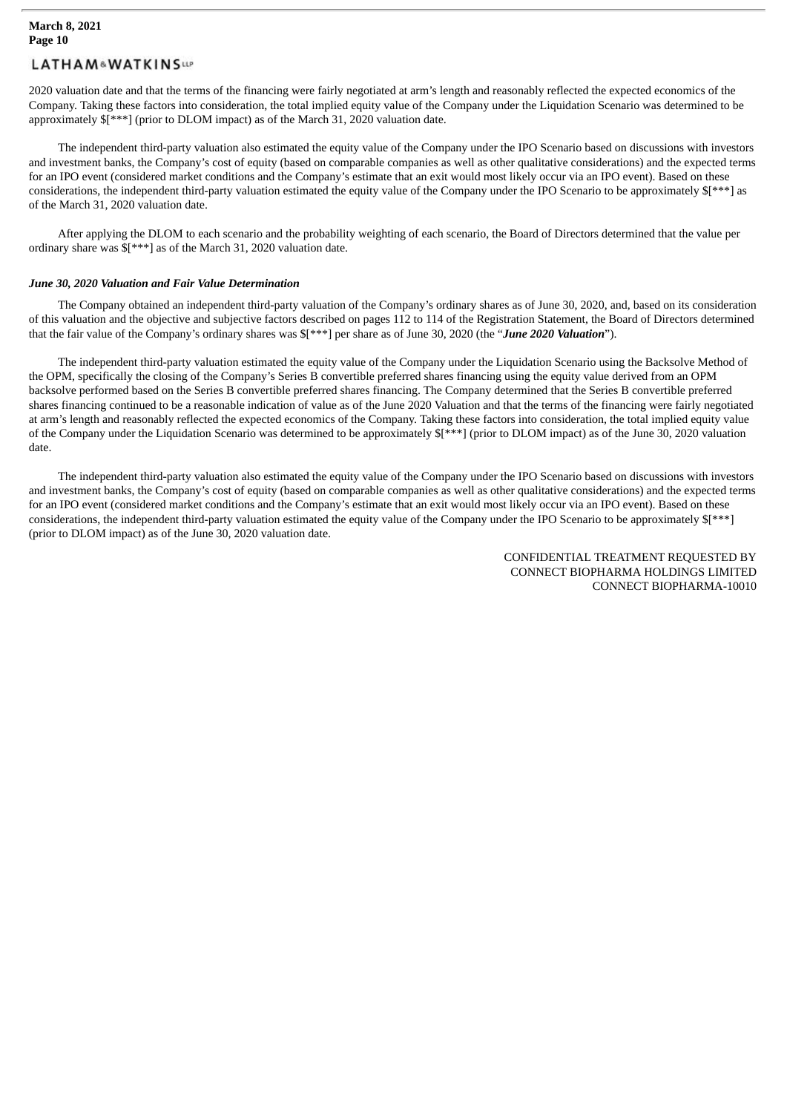2020 valuation date and that the terms of the financing were fairly negotiated at arm's length and reasonably reflected the expected economics of the Company. Taking these factors into consideration, the total implied equity value of the Company under the Liquidation Scenario was determined to be approximately \$[\*\*\*] (prior to DLOM impact) as of the March 31, 2020 valuation date.

The independent third-party valuation also estimated the equity value of the Company under the IPO Scenario based on discussions with investors and investment banks, the Company's cost of equity (based on comparable companies as well as other qualitative considerations) and the expected terms for an IPO event (considered market conditions and the Company's estimate that an exit would most likely occur via an IPO event). Based on these considerations, the independent third-party valuation estimated the equity value of the Company under the IPO Scenario to be approximately \$[\*\*\*] as of the March 31, 2020 valuation date.

After applying the DLOM to each scenario and the probability weighting of each scenario, the Board of Directors determined that the value per ordinary share was \$[\*\*\*] as of the March 31, 2020 valuation date.

#### *June 30, 2020 Valuation and Fair Value Determination*

The Company obtained an independent third-party valuation of the Company's ordinary shares as of June 30, 2020, and, based on its consideration of this valuation and the objective and subjective factors described on pages 112 to 114 of the Registration Statement, the Board of Directors determined that the fair value of the Company's ordinary shares was \$[\*\*\*] per share as of June 30, 2020 (the "*June 2020 Valuation*").

The independent third-party valuation estimated the equity value of the Company under the Liquidation Scenario using the Backsolve Method of the OPM, specifically the closing of the Company's Series B convertible preferred shares financing using the equity value derived from an OPM backsolve performed based on the Series B convertible preferred shares financing. The Company determined that the Series B convertible preferred shares financing continued to be a reasonable indication of value as of the June 2020 Valuation and that the terms of the financing were fairly negotiated at arm's length and reasonably reflected the expected economics of the Company. Taking these factors into consideration, the total implied equity value of the Company under the Liquidation Scenario was determined to be approximately \$[\*\*\*] (prior to DLOM impact) as of the June 30, 2020 valuation date.

The independent third-party valuation also estimated the equity value of the Company under the IPO Scenario based on discussions with investors and investment banks, the Company's cost of equity (based on comparable companies as well as other qualitative considerations) and the expected terms for an IPO event (considered market conditions and the Company's estimate that an exit would most likely occur via an IPO event). Based on these considerations, the independent third-party valuation estimated the equity value of the Company under the IPO Scenario to be approximately \$[\*\*\*] (prior to DLOM impact) as of the June 30, 2020 valuation date.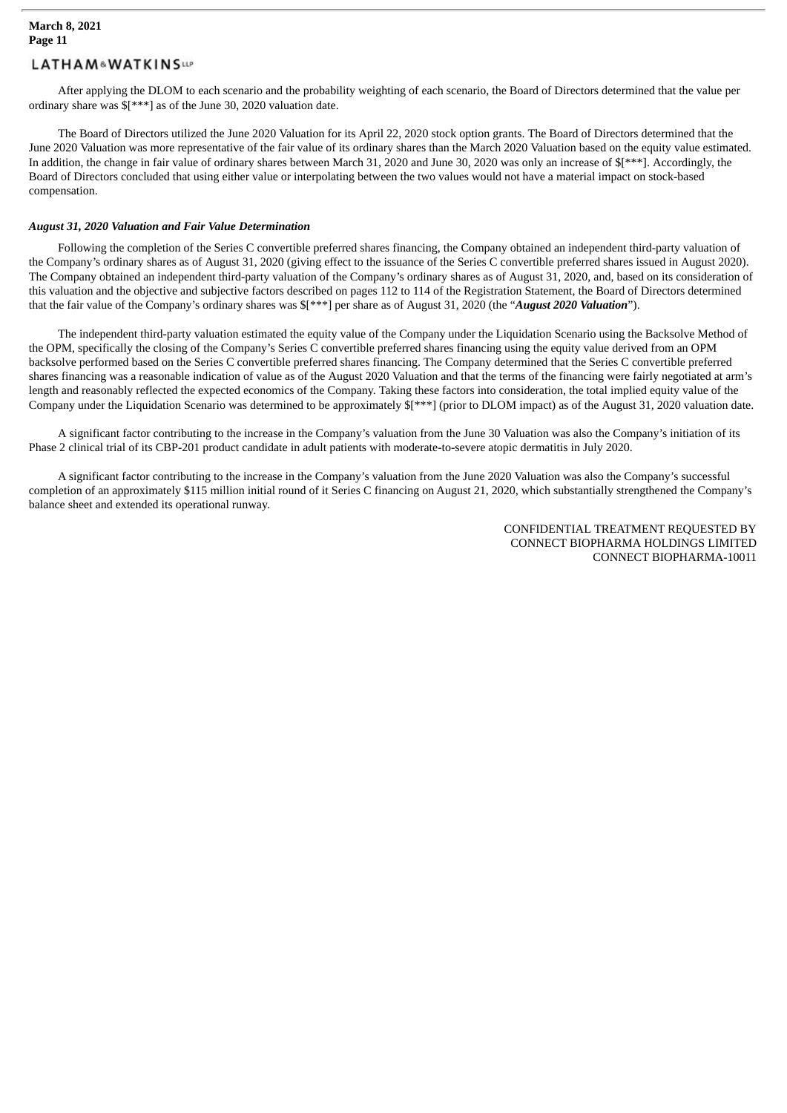After applying the DLOM to each scenario and the probability weighting of each scenario, the Board of Directors determined that the value per ordinary share was \$[\*\*\*] as of the June 30, 2020 valuation date.

The Board of Directors utilized the June 2020 Valuation for its April 22, 2020 stock option grants. The Board of Directors determined that the June 2020 Valuation was more representative of the fair value of its ordinary shares than the March 2020 Valuation based on the equity value estimated. In addition, the change in fair value of ordinary shares between March 31, 2020 and June 30, 2020 was only an increase of  $f^{***}$ ]. Accordingly, the Board of Directors concluded that using either value or interpolating between the two values would not have a material impact on stock-based compensation.

#### *August 31, 2020 Valuation and Fair Value Determination*

Following the completion of the Series C convertible preferred shares financing, the Company obtained an independent third-party valuation of the Company's ordinary shares as of August 31, 2020 (giving effect to the issuance of the Series C convertible preferred shares issued in August 2020). The Company obtained an independent third-party valuation of the Company's ordinary shares as of August 31, 2020, and, based on its consideration of this valuation and the objective and subjective factors described on pages 112 to 114 of the Registration Statement, the Board of Directors determined that the fair value of the Company's ordinary shares was \$[\*\*\*] per share as of August 31, 2020 (the "*August 2020 Valuation*").

The independent third-party valuation estimated the equity value of the Company under the Liquidation Scenario using the Backsolve Method of the OPM, specifically the closing of the Company's Series C convertible preferred shares financing using the equity value derived from an OPM backsolve performed based on the Series C convertible preferred shares financing. The Company determined that the Series C convertible preferred shares financing was a reasonable indication of value as of the August 2020 Valuation and that the terms of the financing were fairly negotiated at arm's length and reasonably reflected the expected economics of the Company. Taking these factors into consideration, the total implied equity value of the Company under the Liquidation Scenario was determined to be approximately \$[\*\*\*] (prior to DLOM impact) as of the August 31, 2020 valuation date.

A significant factor contributing to the increase in the Company's valuation from the June 30 Valuation was also the Company's initiation of its Phase 2 clinical trial of its CBP-201 product candidate in adult patients with moderate-to-severe atopic dermatitis in July 2020.

A significant factor contributing to the increase in the Company's valuation from the June 2020 Valuation was also the Company's successful completion of an approximately \$115 million initial round of it Series C financing on August 21, 2020, which substantially strengthened the Company's balance sheet and extended its operational runway.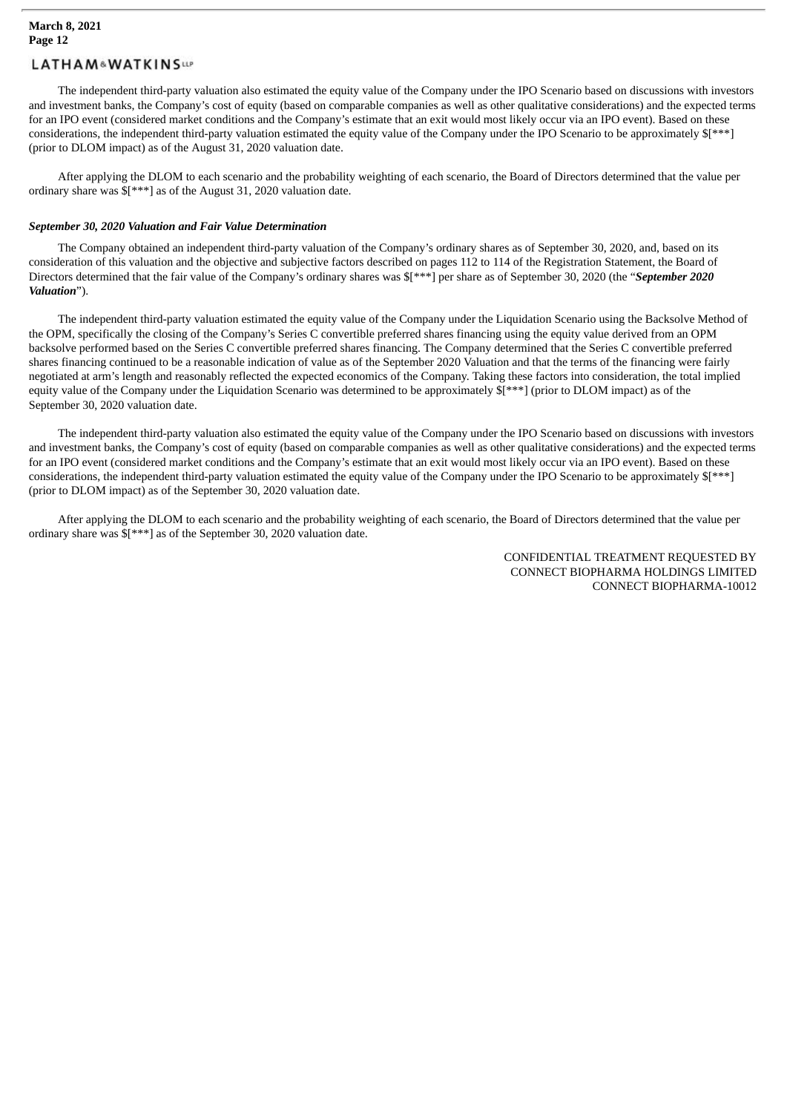The independent third-party valuation also estimated the equity value of the Company under the IPO Scenario based on discussions with investors and investment banks, the Company's cost of equity (based on comparable companies as well as other qualitative considerations) and the expected terms for an IPO event (considered market conditions and the Company's estimate that an exit would most likely occur via an IPO event). Based on these considerations, the independent third-party valuation estimated the equity value of the Company under the IPO Scenario to be approximately \$[\*\*\*] (prior to DLOM impact) as of the August 31, 2020 valuation date.

After applying the DLOM to each scenario and the probability weighting of each scenario, the Board of Directors determined that the value per ordinary share was \$[\*\*\*] as of the August 31, 2020 valuation date.

#### *September 30, 2020 Valuation and Fair Value Determination*

The Company obtained an independent third-party valuation of the Company's ordinary shares as of September 30, 2020, and, based on its consideration of this valuation and the objective and subjective factors described on pages 112 to 114 of the Registration Statement, the Board of Directors determined that the fair value of the Company's ordinary shares was \$[\*\*\*] per share as of September 30, 2020 (the "*September 2020 Valuation*").

The independent third-party valuation estimated the equity value of the Company under the Liquidation Scenario using the Backsolve Method of the OPM, specifically the closing of the Company's Series C convertible preferred shares financing using the equity value derived from an OPM backsolve performed based on the Series C convertible preferred shares financing. The Company determined that the Series C convertible preferred shares financing continued to be a reasonable indication of value as of the September 2020 Valuation and that the terms of the financing were fairly negotiated at arm's length and reasonably reflected the expected economics of the Company. Taking these factors into consideration, the total implied equity value of the Company under the Liquidation Scenario was determined to be approximately \$[\*\*\*] (prior to DLOM impact) as of the September 30, 2020 valuation date.

The independent third-party valuation also estimated the equity value of the Company under the IPO Scenario based on discussions with investors and investment banks, the Company's cost of equity (based on comparable companies as well as other qualitative considerations) and the expected terms for an IPO event (considered market conditions and the Company's estimate that an exit would most likely occur via an IPO event). Based on these considerations, the independent third-party valuation estimated the equity value of the Company under the IPO Scenario to be approximately \$[\*\*\*] (prior to DLOM impact) as of the September 30, 2020 valuation date.

After applying the DLOM to each scenario and the probability weighting of each scenario, the Board of Directors determined that the value per ordinary share was \$[\*\*\*] as of the September 30, 2020 valuation date.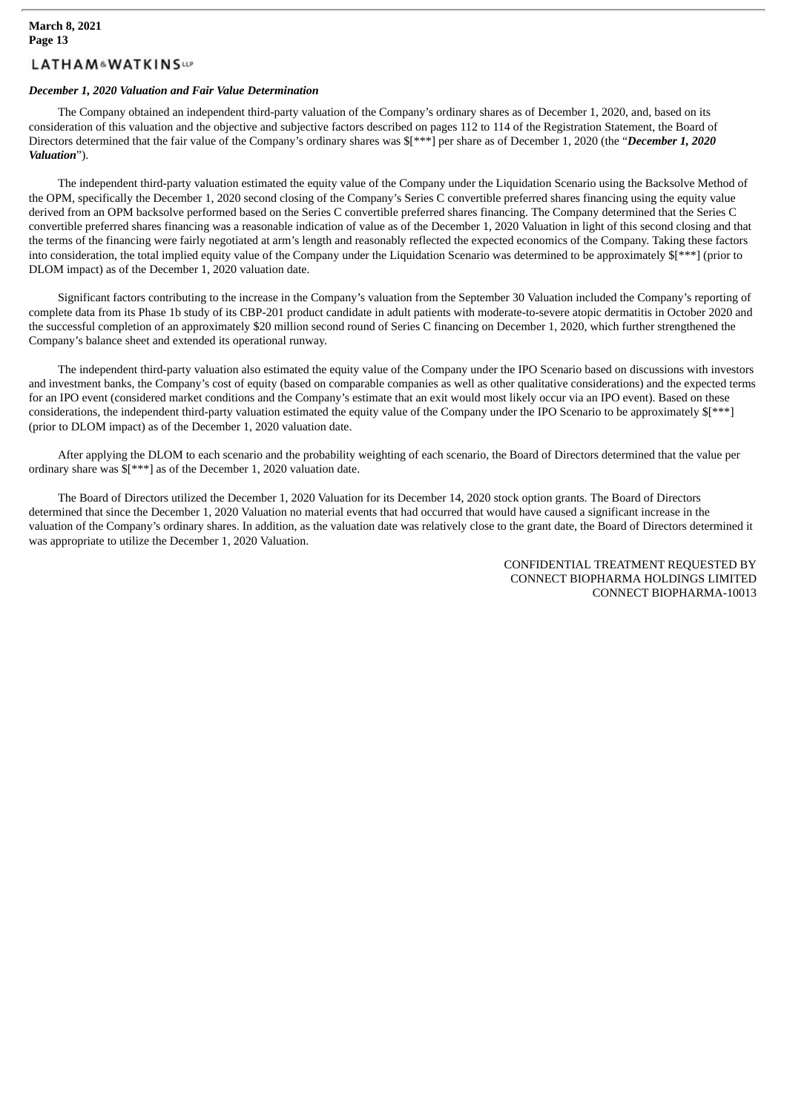#### *December 1, 2020 Valuation and Fair Value Determination*

The Company obtained an independent third-party valuation of the Company's ordinary shares as of December 1, 2020, and, based on its consideration of this valuation and the objective and subjective factors described on pages 112 to 114 of the Registration Statement, the Board of Directors determined that the fair value of the Company's ordinary shares was \$[\*\*\*] per share as of December 1, 2020 (the "*December 1, 2020 Valuation*").

The independent third-party valuation estimated the equity value of the Company under the Liquidation Scenario using the Backsolve Method of the OPM, specifically the December 1, 2020 second closing of the Company's Series C convertible preferred shares financing using the equity value derived from an OPM backsolve performed based on the Series C convertible preferred shares financing. The Company determined that the Series C convertible preferred shares financing was a reasonable indication of value as of the December 1, 2020 Valuation in light of this second closing and that the terms of the financing were fairly negotiated at arm's length and reasonably reflected the expected economics of the Company. Taking these factors into consideration, the total implied equity value of the Company under the Liquidation Scenario was determined to be approximately \$[\*\*\*] (prior to DLOM impact) as of the December 1, 2020 valuation date.

Significant factors contributing to the increase in the Company's valuation from the September 30 Valuation included the Company's reporting of complete data from its Phase 1b study of its CBP-201 product candidate in adult patients with moderate-to-severe atopic dermatitis in October 2020 and the successful completion of an approximately \$20 million second round of Series C financing on December 1, 2020, which further strengthened the Company's balance sheet and extended its operational runway.

The independent third-party valuation also estimated the equity value of the Company under the IPO Scenario based on discussions with investors and investment banks, the Company's cost of equity (based on comparable companies as well as other qualitative considerations) and the expected terms for an IPO event (considered market conditions and the Company's estimate that an exit would most likely occur via an IPO event). Based on these considerations, the independent third-party valuation estimated the equity value of the Company under the IPO Scenario to be approximately \$[\*\*\*] (prior to DLOM impact) as of the December 1, 2020 valuation date.

After applying the DLOM to each scenario and the probability weighting of each scenario, the Board of Directors determined that the value per ordinary share was \$[\*\*\*] as of the December 1, 2020 valuation date.

The Board of Directors utilized the December 1, 2020 Valuation for its December 14, 2020 stock option grants. The Board of Directors determined that since the December 1, 2020 Valuation no material events that had occurred that would have caused a significant increase in the valuation of the Company's ordinary shares. In addition, as the valuation date was relatively close to the grant date, the Board of Directors determined it was appropriate to utilize the December 1, 2020 Valuation.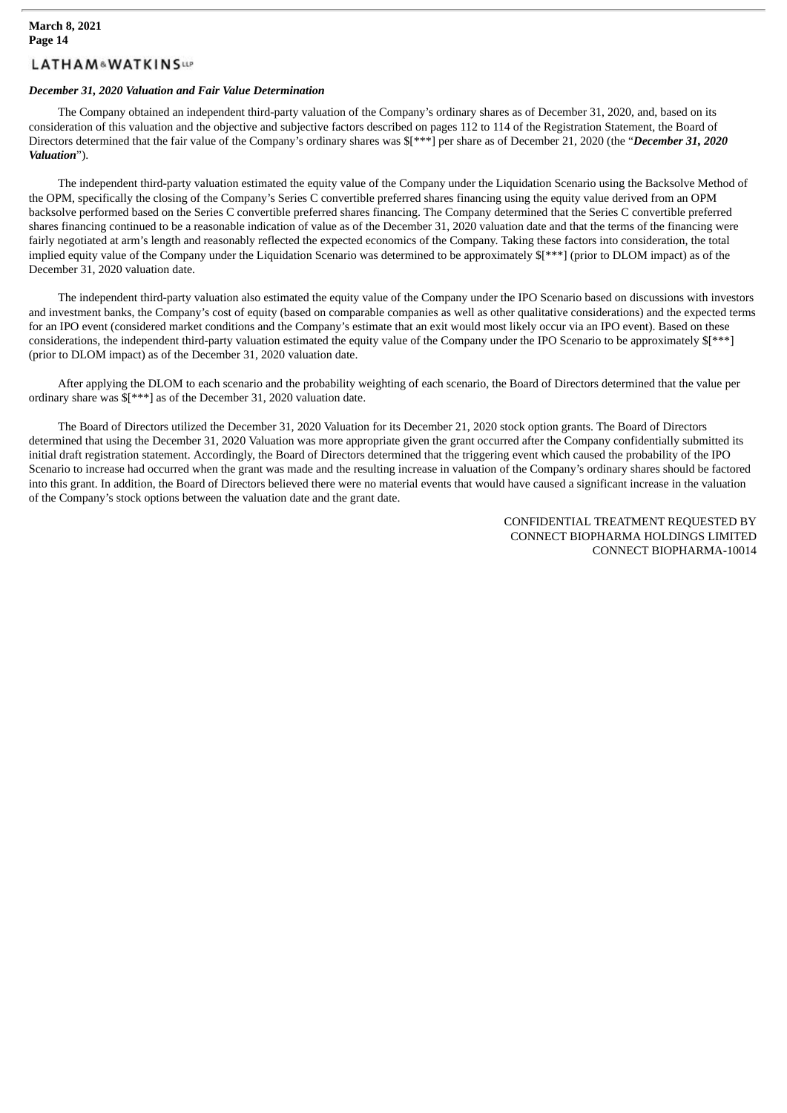#### *December 31, 2020 Valuation and Fair Value Determination*

The Company obtained an independent third-party valuation of the Company's ordinary shares as of December 31, 2020, and, based on its consideration of this valuation and the objective and subjective factors described on pages 112 to 114 of the Registration Statement, the Board of Directors determined that the fair value of the Company's ordinary shares was \$[\*\*\*] per share as of December 21, 2020 (the "*December 31, 2020 Valuation*").

The independent third-party valuation estimated the equity value of the Company under the Liquidation Scenario using the Backsolve Method of the OPM, specifically the closing of the Company's Series C convertible preferred shares financing using the equity value derived from an OPM backsolve performed based on the Series C convertible preferred shares financing. The Company determined that the Series C convertible preferred shares financing continued to be a reasonable indication of value as of the December 31, 2020 valuation date and that the terms of the financing were fairly negotiated at arm's length and reasonably reflected the expected economics of the Company. Taking these factors into consideration, the total implied equity value of the Company under the Liquidation Scenario was determined to be approximately \$[\*\*\*] (prior to DLOM impact) as of the December 31, 2020 valuation date.

The independent third-party valuation also estimated the equity value of the Company under the IPO Scenario based on discussions with investors and investment banks, the Company's cost of equity (based on comparable companies as well as other qualitative considerations) and the expected terms for an IPO event (considered market conditions and the Company's estimate that an exit would most likely occur via an IPO event). Based on these considerations, the independent third-party valuation estimated the equity value of the Company under the IPO Scenario to be approximately \$[\*\*\*] (prior to DLOM impact) as of the December 31, 2020 valuation date.

After applying the DLOM to each scenario and the probability weighting of each scenario, the Board of Directors determined that the value per ordinary share was \$[\*\*\*] as of the December 31, 2020 valuation date.

The Board of Directors utilized the December 31, 2020 Valuation for its December 21, 2020 stock option grants. The Board of Directors determined that using the December 31, 2020 Valuation was more appropriate given the grant occurred after the Company confidentially submitted its initial draft registration statement. Accordingly, the Board of Directors determined that the triggering event which caused the probability of the IPO Scenario to increase had occurred when the grant was made and the resulting increase in valuation of the Company's ordinary shares should be factored into this grant. In addition, the Board of Directors believed there were no material events that would have caused a significant increase in the valuation of the Company's stock options between the valuation date and the grant date.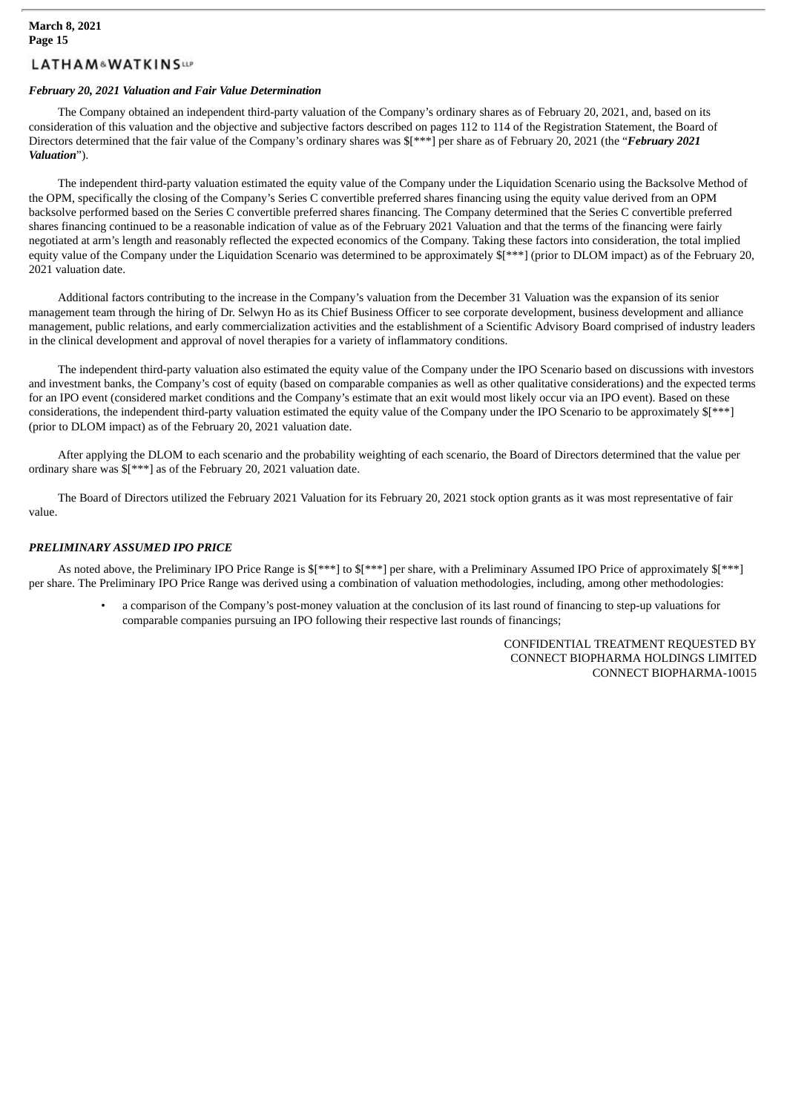#### *February 20, 2021 Valuation and Fair Value Determination*

The Company obtained an independent third-party valuation of the Company's ordinary shares as of February 20, 2021, and, based on its consideration of this valuation and the objective and subjective factors described on pages 112 to 114 of the Registration Statement, the Board of Directors determined that the fair value of the Company's ordinary shares was \$[\*\*\*] per share as of February 20, 2021 (the "*February 2021 Valuation*").

The independent third-party valuation estimated the equity value of the Company under the Liquidation Scenario using the Backsolve Method of the OPM, specifically the closing of the Company's Series C convertible preferred shares financing using the equity value derived from an OPM backsolve performed based on the Series C convertible preferred shares financing. The Company determined that the Series C convertible preferred shares financing continued to be a reasonable indication of value as of the February 2021 Valuation and that the terms of the financing were fairly negotiated at arm's length and reasonably reflected the expected economics of the Company. Taking these factors into consideration, the total implied equity value of the Company under the Liquidation Scenario was determined to be approximately  $\frac{1}{2}$  (prior to DLOM impact) as of the February 20, 2021 valuation date.

Additional factors contributing to the increase in the Company's valuation from the December 31 Valuation was the expansion of its senior management team through the hiring of Dr. Selwyn Ho as its Chief Business Officer to see corporate development, business development and alliance management, public relations, and early commercialization activities and the establishment of a Scientific Advisory Board comprised of industry leaders in the clinical development and approval of novel therapies for a variety of inflammatory conditions.

The independent third-party valuation also estimated the equity value of the Company under the IPO Scenario based on discussions with investors and investment banks, the Company's cost of equity (based on comparable companies as well as other qualitative considerations) and the expected terms for an IPO event (considered market conditions and the Company's estimate that an exit would most likely occur via an IPO event). Based on these considerations, the independent third-party valuation estimated the equity value of the Company under the IPO Scenario to be approximately \$[\*\*\*] (prior to DLOM impact) as of the February 20, 2021 valuation date.

After applying the DLOM to each scenario and the probability weighting of each scenario, the Board of Directors determined that the value per ordinary share was \$[\*\*\*] as of the February 20, 2021 valuation date.

The Board of Directors utilized the February 2021 Valuation for its February 20, 2021 stock option grants as it was most representative of fair value.

#### *PRELIMINARY ASSUMED IPO PRICE*

As noted above, the Preliminary IPO Price Range is  $$[***]$  to  $$[***]$  per share, with a Preliminary Assumed IPO Price of approximately  $$[***]$ per share. The Preliminary IPO Price Range was derived using a combination of valuation methodologies, including, among other methodologies:

• a comparison of the Company's post-money valuation at the conclusion of its last round of financing to step-up valuations for comparable companies pursuing an IPO following their respective last rounds of financings;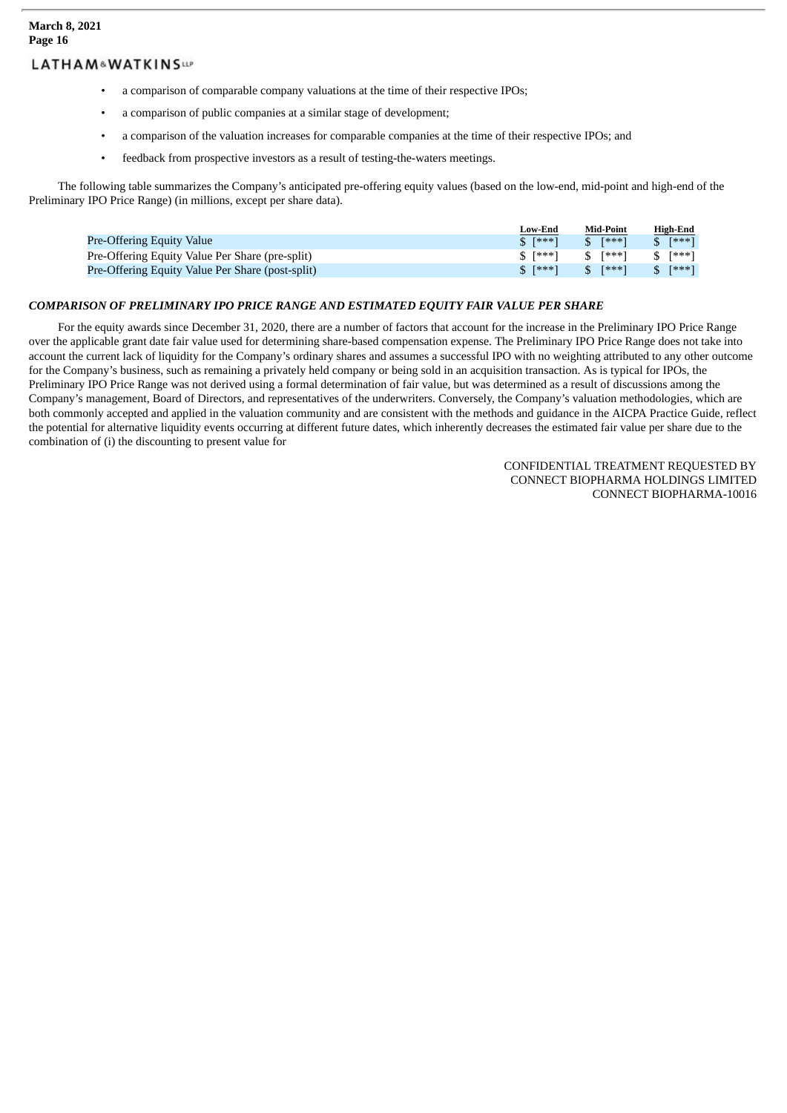- a comparison of comparable company valuations at the time of their respective IPOs;
- a comparison of public companies at a similar stage of development;
- a comparison of the valuation increases for comparable companies at the time of their respective IPOs; and
- feedback from prospective investors as a result of testing-the-waters meetings.

The following table summarizes the Company's anticipated pre-offering equity values (based on the low-end, mid-point and high-end of the Preliminary IPO Price Range) (in millions, except per share data).

|                                                  | Low-End             | <b>Mid-Point</b> | <b>High-End</b>        |
|--------------------------------------------------|---------------------|------------------|------------------------|
| Pre-Offering Equity Value                        | $$ [***]$           | $S$ [***]        | $S$ [***]              |
| Pre-Offering Equity Value Per Share (pre-split)  | $S$ [***] $S$ [***] |                  | $S$ [***]              |
| Pre-Offering Equity Value Per Share (post-split) | $S$ [***] $S$ [***] |                  | $\frac{1}{2}$ $*^{**}$ |

### *COMPARISON OF PRELIMINARY IPO PRICE RANGE AND ESTIMATED EQUITY FAIR VALUE PER SHARE*

For the equity awards since December 31, 2020, there are a number of factors that account for the increase in the Preliminary IPO Price Range over the applicable grant date fair value used for determining share-based compensation expense. The Preliminary IPO Price Range does not take into account the current lack of liquidity for the Company's ordinary shares and assumes a successful IPO with no weighting attributed to any other outcome for the Company's business, such as remaining a privately held company or being sold in an acquisition transaction. As is typical for IPOs, the Preliminary IPO Price Range was not derived using a formal determination of fair value, but was determined as a result of discussions among the Company's management, Board of Directors, and representatives of the underwriters. Conversely, the Company's valuation methodologies, which are both commonly accepted and applied in the valuation community and are consistent with the methods and guidance in the AICPA Practice Guide, reflect the potential for alternative liquidity events occurring at different future dates, which inherently decreases the estimated fair value per share due to the combination of (i) the discounting to present value for